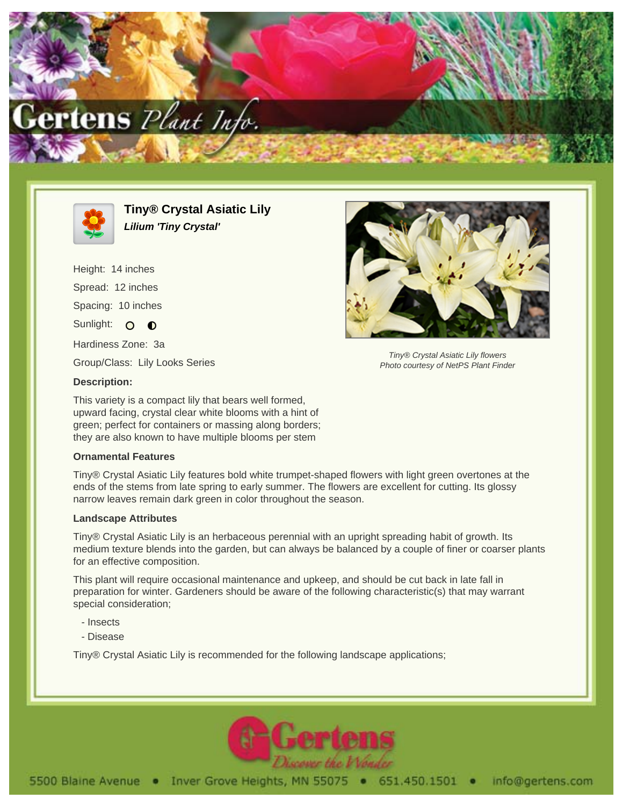



**Tiny® Crystal Asiatic Lily Lilium 'Tiny Crystal'**

Height: 14 inches Spread: 12 inches Spacing: 10 inches Sunlight: O **O** Hardiness Zone: 3a Group/Class: Lily Looks Series



Tiny® Crystal Asiatic Lily flowers Photo courtesy of NetPS Plant Finder

## **Description:**

This variety is a compact lily that bears well formed, upward facing, crystal clear white blooms with a hint of green; perfect for containers or massing along borders; they are also known to have multiple blooms per stem

## **Ornamental Features**

Tiny® Crystal Asiatic Lily features bold white trumpet-shaped flowers with light green overtones at the ends of the stems from late spring to early summer. The flowers are excellent for cutting. Its glossy narrow leaves remain dark green in color throughout the season.

## **Landscape Attributes**

Tiny® Crystal Asiatic Lily is an herbaceous perennial with an upright spreading habit of growth. Its medium texture blends into the garden, but can always be balanced by a couple of finer or coarser plants for an effective composition.

This plant will require occasional maintenance and upkeep, and should be cut back in late fall in preparation for winter. Gardeners should be aware of the following characteristic(s) that may warrant special consideration;

- Insects
- Disease

Tiny® Crystal Asiatic Lily is recommended for the following landscape applications;